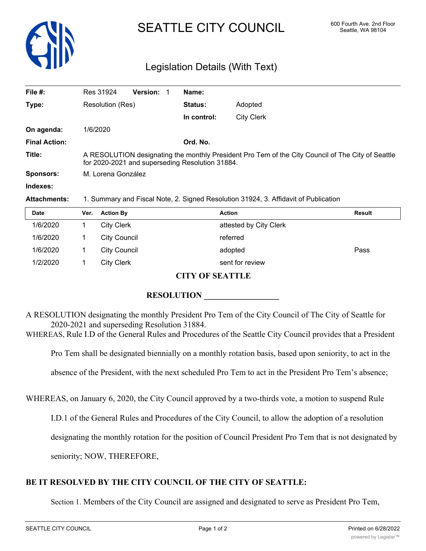

# SEATTLE CITY COUNCIL 600 Fourth Ave. 2nd Floor

## Legislation Details (With Text)

| File #:              | <b>Version:</b><br>Res 31924                                                                                                                         |  | Name:          |                   |
|----------------------|------------------------------------------------------------------------------------------------------------------------------------------------------|--|----------------|-------------------|
| Type:                | Resolution (Res)                                                                                                                                     |  | <b>Status:</b> | Adopted           |
|                      |                                                                                                                                                      |  | In control:    | <b>City Clerk</b> |
| On agenda:           | 1/6/2020                                                                                                                                             |  |                |                   |
| <b>Final Action:</b> |                                                                                                                                                      |  | Ord. No.       |                   |
| Title:               | A RESOLUTION designating the monthly President Pro Tem of the City Council of The City of Seattle<br>for 2020-2021 and superseding Resolution 31884. |  |                |                   |
| <b>Sponsors:</b>     | M. Lorena González                                                                                                                                   |  |                |                   |
| Indexes:             |                                                                                                                                                      |  |                |                   |
| <b>Attachments:</b>  | 1. Summary and Fiscal Note, 2. Signed Resolution 31924, 3. Affidavit of Publication                                                                  |  |                |                   |

| <b>Date</b>                        | Ver. | <b>Action By</b>    | <b>Action</b>          | <b>Result</b> |  |
|------------------------------------|------|---------------------|------------------------|---------------|--|
| 1/6/2020                           |      | <b>City Clerk</b>   | attested by City Clerk |               |  |
| 1/6/2020                           |      | <b>City Council</b> | referred               |               |  |
| 1/6/2020                           |      | <b>City Council</b> | adopted                | Pass          |  |
| 1/2/2020                           |      | <b>City Clerk</b>   | sent for review        |               |  |
| $CITV/\Delta E$ of $\Lambda TTT$ e |      |                     |                        |               |  |

#### **CITY OF SEATTLE**

#### **RESOLUTION \_\_\_\_\_\_\_\_\_\_\_\_\_\_\_\_\_\_**

A RESOLUTION designating the monthly President Pro Tem of the City Council of The City of Seattle for 2020-2021 and superseding Resolution 31884.

WHEREAS, Rule I.D of the General Rules and Procedures of the Seattle City Council provides that a President

Pro Tem shall be designated biennially on a monthly rotation basis, based upon seniority, to act in the

absence of the President, with the next scheduled Pro Tem to act in the President Pro Tem's absence;

WHEREAS, on January 6, 2020, the City Council approved by a two-thirds vote, a motion to suspend Rule

I.D.1 of the General Rules and Procedures of the City Council, to allow the adoption of a resolution

designating the monthly rotation for the position of Council President Pro Tem that is not designated by

seniority; NOW, THEREFORE,

### **BE IT RESOLVED BY THE CITY COUNCIL OF THE CITY OF SEATTLE:**

Section 1. Members of the City Council are assigned and designated to serve as President Pro Tem,